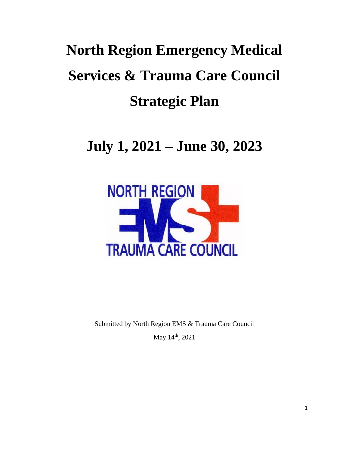# **North Region Emergency Medical Services & Trauma Care Council Strategic Plan**

# **July 1, 2021 – June 30, 2023**



Submitted by North Region EMS & Trauma Care Council

May 14<sup>th</sup>, 2021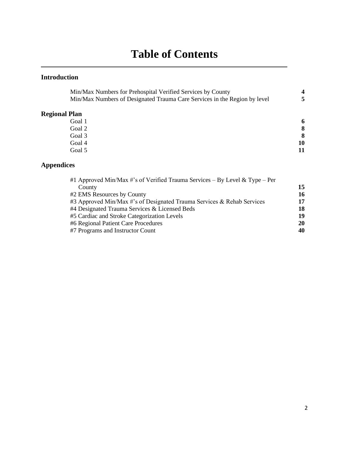# **Table of Contents**

### **Introduction**

| Min/Max Numbers for Prehospital Verified Services by County               |    |
|---------------------------------------------------------------------------|----|
| Min/Max Numbers of Designated Trauma Care Services in the Region by level |    |
| <b>Regional Plan</b>                                                      |    |
| Goal 1                                                                    | 6  |
| Goal 2                                                                    | 8  |
| Goal 3                                                                    | 8  |
| Goal 4                                                                    | 10 |
| Goal 5                                                                    | 11 |
|                                                                           |    |

### **Appendices**

| 15 |
|----|
| 16 |
| 17 |
| 18 |
| 19 |
| 20 |
| 40 |
|    |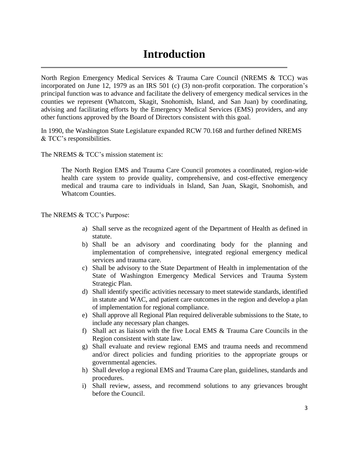### **Introduction**

North Region Emergency Medical Services & Trauma Care Council (NREMS & TCC) was incorporated on June 12, 1979 as an IRS 501 (c) (3) non-profit corporation. The corporation's principal function was to advance and facilitate the delivery of emergency medical services in the counties we represent (Whatcom, Skagit, Snohomish, Island, and San Juan) by coordinating, advising and facilitating efforts by the Emergency Medical Services (EMS) providers, and any other functions approved by the Board of Directors consistent with this goal.

In 1990, the Washington State Legislature expanded RCW 70.168 and further defined NREMS & TCC's responsibilities.

The NREMS & TCC's mission statement is:

The North Region EMS and Trauma Care Council promotes a coordinated, region-wide health care system to provide quality, comprehensive, and cost-effective emergency medical and trauma care to individuals in Island, San Juan, Skagit, Snohomish, and Whatcom Counties.

The NREMS & TCC's Purpose:

- a) Shall serve as the recognized agent of the Department of Health as defined in statute.
- b) Shall be an advisory and coordinating body for the planning and implementation of comprehensive, integrated regional emergency medical services and trauma care.
- c) Shall be advisory to the State Department of Health in implementation of the State of Washington Emergency Medical Services and Trauma System Strategic Plan.
- d) Shall identify specific activities necessary to meet statewide standards, identified in statute and WAC, and patient care outcomes in the region and develop a plan of implementation for regional compliance.
- e) Shall approve all Regional Plan required deliverable submissions to the State, to include any necessary plan changes.
- f) Shall act as liaison with the five Local EMS & Trauma Care Councils in the Region consistent with state law.
- g) Shall evaluate and review regional EMS and trauma needs and recommend and/or direct policies and funding priorities to the appropriate groups or governmental agencies.
- h) Shall develop a regional EMS and Trauma Care plan, guidelines, standards and procedures.
- i) Shall review, assess, and recommend solutions to any grievances brought before the Council.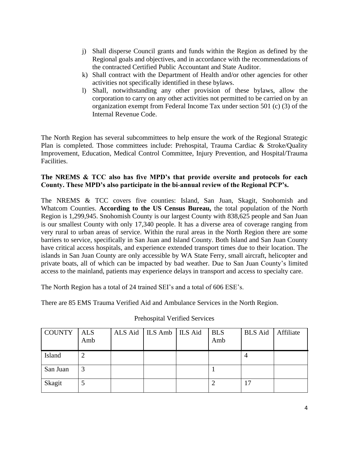- j) Shall disperse Council grants and funds within the Region as defined by the Regional goals and objectives, and in accordance with the recommendations of the contracted Certified Public Accountant and State Auditor.
- k) Shall contract with the Department of Health and/or other agencies for other activities not specifically identified in these bylaws.
- l) Shall, notwithstanding any other provision of these bylaws, allow the corporation to carry on any other activities not permitted to be carried on by an organization exempt from Federal Income Tax under section 501 (c) (3) of the Internal Revenue Code.

The North Region has several subcommittees to help ensure the work of the Regional Strategic Plan is completed. Those committees include: Prehospital, Trauma Cardiac & Stroke/Quality Improvement, Education, Medical Control Committee, Injury Prevention, and Hospital/Trauma Facilities.

#### **The NREMS & TCC also has five MPD's that provide oversite and protocols for each County. These MPD's also participate in the bi-annual review of the Regional PCP's.**

The NREMS & TCC covers five counties: Island, San Juan, Skagit, Snohomish and Whatcom Counties. **According to the US Census Bureau,** the total population of the North Region is 1,299,945. Snohomish County is our largest County with 838,625 people and San Juan is our smallest County with only 17,340 people. It has a diverse area of coverage ranging from very rural to urban areas of service. Within the rural areas in the North Region there are some barriers to service, specifically in San Juan and Island County. Both Island and San Juan County have critical access hospitals, and experience extended transport times due to their location. The islands in San Juan County are only accessible by WA State Ferry, small aircraft, helicopter and private boats, all of which can be impacted by bad weather. Due to San Juan County's limited access to the mainland, patients may experience delays in transport and access to specialty care.

The North Region has a total of 24 trained SEI's and a total of 606 ESE's.

There are 85 EMS Trauma Verified Aid and Ambulance Services in the North Region.

| <b>COUNTY</b> | <b>ALS</b><br>Amb | ALS Aid   ILS Amb   ILS Aid | <b>BLS</b><br>Amb | BLS Aid | Affiliate |
|---------------|-------------------|-----------------------------|-------------------|---------|-----------|
| Island        |                   |                             |                   |         |           |
| San Juan      |                   |                             |                   |         |           |
| Skagit        |                   |                             |                   | 17      |           |

#### Prehospital Verified Services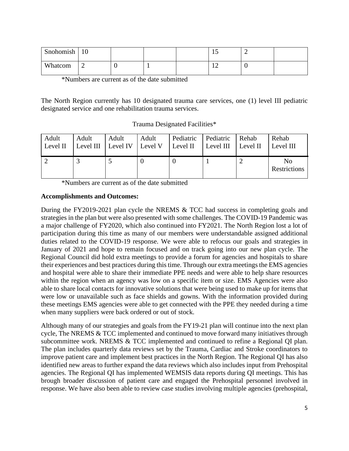| Snohomish | 10 |  | ∸ | - |  |
|-----------|----|--|---|---|--|
| Whatcom   | -  |  | ∸ |   |  |

\*Numbers are current as of the date submitted

The North Region currently has 10 designated trauma care services, one (1) level III pediatric designated service and one rehabilitation trauma services.

Trauma Designated Facilities\*

| Adult    | Adult                      | Adult | Adult   | Pediatric | Pediatric | Rehab    | Rehab              |
|----------|----------------------------|-------|---------|-----------|-----------|----------|--------------------|
| Level II | Level III $\vert$ Level IV |       | Level V | Level II  | Level III | Level II | Level III          |
|          |                            |       |         |           |           |          | No<br>Restrictions |

\*Numbers are current as of the date submitted

#### **Accomplishments and Outcomes:**

During the FY2019-2021 plan cycle the NREMS & TCC had success in completing goals and strategies in the plan but were also presented with some challenges. The COVID-19 Pandemic was a major challenge of FY2020, which also continued into FY2021. The North Region lost a lot of participation during this time as many of our members were understandable assigned additional duties related to the COVID-19 response. We were able to refocus our goals and strategies in January of 2021 and hope to remain focused and on track going into our new plan cycle. The Regional Council did hold extra meetings to provide a forum for agencies and hospitals to share their experiences and best practices during this time. Through our extra meetings the EMS agencies and hospital were able to share their immediate PPE needs and were able to help share resources within the region when an agency was low on a specific item or size. EMS Agencies were also able to share local contacts for innovative solutions that were being used to make up for items that were low or unavailable such as face shields and gowns. With the information provided during these meetings EMS agencies were able to get connected with the PPE they needed during a time when many suppliers were back ordered or out of stock.

Although many of our strategies and goals from the FY19-21 plan will continue into the next plan cycle, The NREMS & TCC implemented and continued to move forward many initiatives through subcommittee work. NREMS & TCC implemented and continued to refine a Regional QI plan. The plan includes quarterly data reviews set by the Trauma, Cardiac and Stroke coordinators to improve patient care and implement best practices in the North Region. The Regional QI has also identified new areas to further expand the data reviews which also includes input from Prehospital agencies. The Regional QI has implemented WEMSIS data reports during QI meetings. This has brough broader discussion of patient care and engaged the Prehospital personnel involved in response. We have also been able to review case studies involving multiple agencies (prehospital,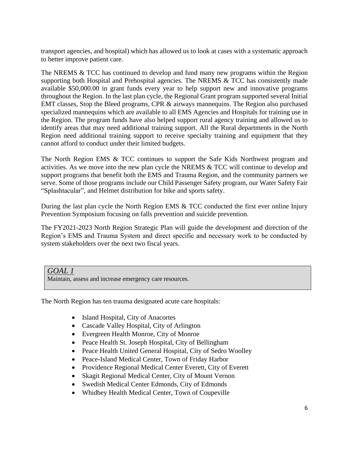transport agencies, and hospital) which has allowed us to look at cases with a systematic approach to better improve patient care.

The NREMS & TCC has continued to develop and fund many new programs within the Region supporting both Hospital and Prehospital agencies. The NREMS & TCC has consistently made available \$50,000.00 in grant funds every year to help support new and innovative programs throughout the Region. In the last plan cycle, the Regional Grant program supported several Initial EMT classes, Stop the Bleed programs, CPR & airways mannequins. The Region also purchased specialized mannequins which are available to all EMS Agencies and Hospitals for training use in the Region. The program funds have also helped support rural agency training and allowed us to identify areas that may need additional training support. All the Rural departments in the North Region need additional training support to receive specialty training and equipment that they cannot afford to conduct under their limited budgets.

The North Region EMS & TCC continues to support the Safe Kids Northwest program and activities. As we move into the new plan cycle the NREMS & TCC will continue to develop and support programs that benefit both the EMS and Trauma Region, and the community partners we serve. Some of those programs include our Child Passenger Safety program, our Water Safety Fair "Splashtacular", and Helmet distribution for bike and sports safety.

During the last plan cycle the North Region EMS & TCC conducted the first ever online Injury Prevention Symposium focusing on falls prevention and suicide prevention.

The FY2021-2023 North Region Strategic Plan will guide the development and direction of the Region's EMS and Trauma System and direct specific and necessary work to be conducted by system stakeholders over the next two fiscal years.

### *GOAL 1*

Maintain, assess and increase emergency care resources.

The North Region has ten trauma designated acute care hospitals:

- Island Hospital, City of Anacortes
- Cascade Valley Hospital, City of Arlington
- Evergreen Health Monroe, City of Monroe
- Peace Health St. Joseph Hospital, City of Bellingham
- Peace Health United General Hospital, City of Sedro Woolley
- Peace-Island Medical Center, Town of Friday Harbor
- Providence Regional Medical Center Everett, City of Everett
- Skagit Regional Medical Center, City of Mount Vernon
- Swedish Medical Center Edmonds, City of Edmonds
- Whidbey Health Medical Center, Town of Coupeville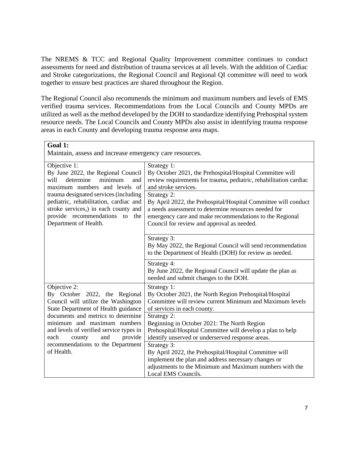The NREMS & TCC and Regional Quality Improvement committee continues to conduct assessments for need and distribution of trauma services at all levels. With the addition of Cardiac and Stroke categorizations, the Regional Council and Regional QI committee will need to work together to ensure best practices are shared throughout the Region.

The Regional Council also recommends the minimum and maximum numbers and levels of EMS verified trauma services. Recommendations from the Local Councils and County MPDs are utilized as well as the method developed by the DOH to standardize identifying Prehospital system resource needs. The Local Councils and County MPDs also assist in identifying trauma response areas in each County and developing trauma response area maps.

| Goal 1:<br>Maintain, assess and increase emergency care resources.                                                                                                                                                                                                              |                                                                                                                                                                                                                                                |
|---------------------------------------------------------------------------------------------------------------------------------------------------------------------------------------------------------------------------------------------------------------------------------|------------------------------------------------------------------------------------------------------------------------------------------------------------------------------------------------------------------------------------------------|
| Objective 1:<br>By June 2022, the Regional Council<br>determine<br>will<br>minimum<br>and<br>maximum numbers and levels of                                                                                                                                                      | Strategy 1:<br>By October 2021, the Prehospital/Hospital Committee will<br>review requirements for trauma, pediatric, rehabilitation cardiac<br>and stroke services.                                                                           |
| trauma designated services (including<br>pediatric, rehabilitation, cardiac and<br>stroke services,) in each county and<br>provide recommendations to the<br>Department of Health.                                                                                              | Strategy 2:<br>By April 2022, the Prehospital/Hospital Committee will conduct<br>a needs assessment to determine resources needed for<br>emergency care and make recommendations to the Regional<br>Council for review and approval as needed. |
|                                                                                                                                                                                                                                                                                 | Strategy 3:<br>By May 2022, the Regional Council will send recommendation<br>to the Department of Health (DOH) for review as needed.                                                                                                           |
|                                                                                                                                                                                                                                                                                 | Strategy 4:<br>By June 2022, the Regional Council will update the plan as<br>needed and submit changes to the DOH.                                                                                                                             |
| Objective 2:<br>By October 2022, the Regional<br>Council will utilize the Washington<br>State Department of Health guidance<br>documents and metrics to determine<br>minimum and maximum numbers<br>and levels of verified service types in<br>each<br>and<br>provide<br>county | Strategy 1:<br>By October 2021, the North Region Prehospital/Hospital<br>Committee will review current Minimum and Maximum levels<br>of services in each county.                                                                               |
|                                                                                                                                                                                                                                                                                 | Strategy 2:<br>Beginning in October 2021: The North Region<br>Prehospital/Hospital Committee will develop a plan to help<br>identify unserved or underserved response areas.                                                                   |
| recommendations to the Department<br>of Health.                                                                                                                                                                                                                                 | Strategy 3:<br>By April 2022, the Prehospital/Hospital Committee will<br>implement the plan and address necessary changes or<br>adjustments to the Minimum and Maximum numbers with the<br>Local EMS Councils.                                 |

┑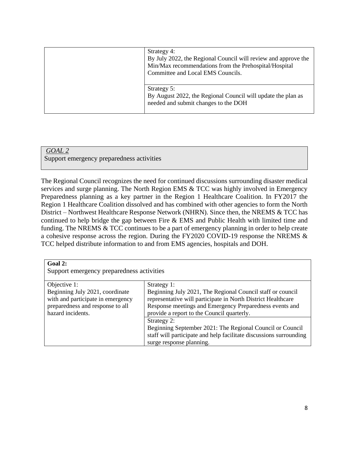| Strategy 4:<br>By July 2022, the Regional Council will review and approve the<br>Min/Max recommendations from the Prehospital/Hospital<br>Committee and Local EMS Councils. |
|-----------------------------------------------------------------------------------------------------------------------------------------------------------------------------|
| Strategy 5:<br>By August 2022, the Regional Council will update the plan as<br>needed and submit changes to the DOH                                                         |

### *GOAL 2*

Support emergency preparedness activities

The Regional Council recognizes the need for continued discussions surrounding disaster medical services and surge planning. The North Region EMS & TCC was highly involved in Emergency Preparedness planning as a key partner in the Region 1 Healthcare Coalition. In FY2017 the Region 1 Healthcare Coalition dissolved and has combined with other agencies to form the North District – Northwest Healthcare Response Network (NHRN). Since then, the NREMS & TCC has continued to help bridge the gap between Fire & EMS and Public Health with limited time and funding. The NREMS & TCC continues to be a part of emergency planning in order to help create a cohesive response across the region. During the FY2020 COVID-19 response the NREMS & TCC helped distribute information to and from EMS agencies, hospitals and DOH.

| Goal 2:                                                                                                                       |                                                                                                                                                                                                                                     |  |
|-------------------------------------------------------------------------------------------------------------------------------|-------------------------------------------------------------------------------------------------------------------------------------------------------------------------------------------------------------------------------------|--|
| Support emergency preparedness activities                                                                                     |                                                                                                                                                                                                                                     |  |
| Objective 1:                                                                                                                  | Strategy 1:                                                                                                                                                                                                                         |  |
| Beginning July 2021, coordinate<br>with and participate in emergency<br>preparedness and response to all<br>hazard incidents. | Beginning July 2021, The Regional Council staff or council<br>representative will participate in North District Healthcare<br>Response meetings and Emergency Preparedness events and<br>provide a report to the Council quarterly. |  |
|                                                                                                                               | Strategy 2:<br>Beginning September 2021: The Regional Council or Council<br>staff will participate and help facilitate discussions surrounding<br>surge response planning.                                                          |  |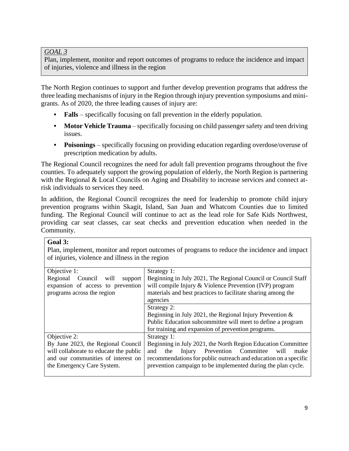#### *GOAL 3*

Plan, implement, monitor and report outcomes of programs to reduce the incidence and impact of injuries, violence and illness in the region

The North Region continues to support and further develop prevention programs that address the three leading mechanisms of injury in the Region through injury prevention symposiums and minigrants. As of 2020, the three leading causes of injury are:

- **Falls** specifically focusing on fall prevention in the elderly population.
- **• Motor Vehicle Trauma** specifically focusing on child passenger safety and teen driving issues.
- **• Poisonings**  specifically focusing on providing education regarding overdose/overuse of prescription medication by adults.

The Regional Council recognizes the need for adult fall prevention programs throughout the five counties. To adequately support the growing population of elderly, the North Region is partnering with the Regional & Local Councils on Aging and Disability to increase services and connect atrisk individuals to services they need.

In addition, the Regional Council recognizes the need for leadership to promote child injury prevention programs within Skagit, Island, San Juan and Whatcom Counties due to limited funding. The Regional Council will continue to act as the lead role for Safe Kids Northwest, providing car seat classes, car seat checks and prevention education when needed in the Community.

#### **Goal 3:**

Plan, implement, monitor and report outcomes of programs to reduce the incidence and impact of injuries, violence and illness in the region

| Objective 1:                           | Strategy 1:                                                     |
|----------------------------------------|-----------------------------------------------------------------|
| Regional Council will<br>support       | Beginning in July 2021, The Regional Council or Council Staff   |
| expansion of access to prevention      | will compile Injury & Violence Prevention (IVP) program         |
| programs across the region             | materials and best practices to facilitate sharing among the    |
|                                        | agencies                                                        |
|                                        | Strategy 2:                                                     |
|                                        | Beginning in July 2021, the Regional Injury Prevention $\&$     |
|                                        | Public Education subcommittee will meet to define a program     |
|                                        | for training and expansion of prevention programs.              |
| Objective 2:                           | Strategy 1:                                                     |
| By June 2023, the Regional Council     | Beginning in July 2021, the North Region Education Committee    |
| will collaborate to educate the public | Injury Prevention Committee<br>make<br>will<br>and<br>the       |
| and our communities of interest on     | recommendations for public outreach and education on a specific |
| the Emergency Care System.             | prevention campaign to be implemented during the plan cycle.    |
|                                        |                                                                 |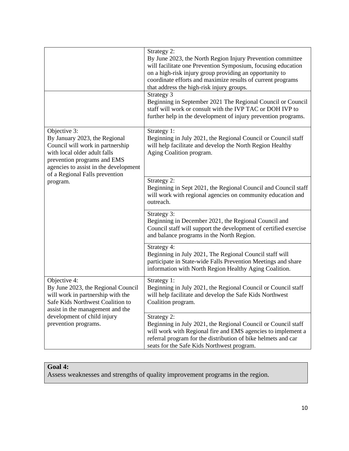|                                                                                                                                                                                                                                         | Strategy 2:<br>By June 2023, the North Region Injury Prevention committee<br>will facilitate one Prevention Symposium, focusing education<br>on a high-risk injury group providing an opportunity to<br>coordinate efforts and maximize results of current programs<br>that address the high-risk injury groups.<br>Strategy 3<br>Beginning in September 2021 The Regional Council or Council<br>staff will work or consult with the IVP TAC or DOH IVP to<br>further help in the development of injury prevention programs. |
|-----------------------------------------------------------------------------------------------------------------------------------------------------------------------------------------------------------------------------------------|------------------------------------------------------------------------------------------------------------------------------------------------------------------------------------------------------------------------------------------------------------------------------------------------------------------------------------------------------------------------------------------------------------------------------------------------------------------------------------------------------------------------------|
| Objective 3:<br>By January 2023, the Regional<br>Council will work in partnership<br>with local older adult falls<br>prevention programs and EMS<br>agencies to assist in the development<br>of a Regional Falls prevention<br>program. | Strategy 1:<br>Beginning in July 2021, the Regional Council or Council staff<br>will help facilitate and develop the North Region Healthy<br>Aging Coalition program.                                                                                                                                                                                                                                                                                                                                                        |
|                                                                                                                                                                                                                                         | Strategy 2:<br>Beginning in Sept 2021, the Regional Council and Council staff<br>will work with regional agencies on community education and<br>outreach.                                                                                                                                                                                                                                                                                                                                                                    |
|                                                                                                                                                                                                                                         | Strategy 3:<br>Beginning in December 2021, the Regional Council and<br>Council staff will support the development of certified exercise<br>and balance programs in the North Region.                                                                                                                                                                                                                                                                                                                                         |
|                                                                                                                                                                                                                                         | Strategy 4:<br>Beginning in July 2021, The Regional Council staff will<br>participate in State-wide Falls Prevention Meetings and share<br>information with North Region Healthy Aging Coalition.                                                                                                                                                                                                                                                                                                                            |
| Objective 4:<br>By June 2023, the Regional Council<br>will work in partnership with the<br>Safe Kids Northwest Coalition to<br>assist in the management and the                                                                         | Strategy 1:<br>Beginning in July 2021, the Regional Council or Council staff<br>will help facilitate and develop the Safe Kids Northwest<br>Coalition program.                                                                                                                                                                                                                                                                                                                                                               |
| development of child injury<br>prevention programs.                                                                                                                                                                                     | Strategy 2:<br>Beginning in July 2021, the Regional Council or Council staff<br>will work with Regional fire and EMS agencies to implement a<br>referral program for the distribution of bike helmets and car<br>seats for the Safe Kids Northwest program.                                                                                                                                                                                                                                                                  |

### **Goal 4:**

Assess weaknesses and strengths of quality improvement programs in the region.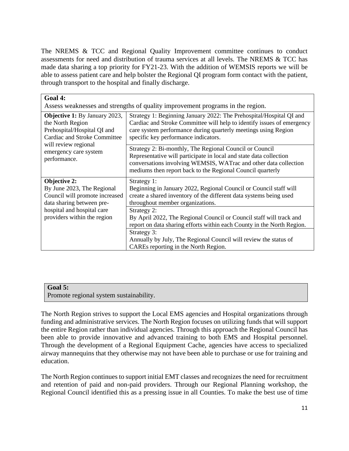The NREMS & TCC and Regional Quality Improvement committee continues to conduct assessments for need and distribution of trauma services at all levels. The NREMS & TCC has made data sharing a top priority for FY21-23. With the addition of WEMSIS reports we will be able to assess patient care and help bolster the Regional QI program form contact with the patient, through transport to the hospital and finally discharge.

| Goal 4:                                                                                                                                                                                         |                                                                                                                                                                                                                                                                 |  |  |
|-------------------------------------------------------------------------------------------------------------------------------------------------------------------------------------------------|-----------------------------------------------------------------------------------------------------------------------------------------------------------------------------------------------------------------------------------------------------------------|--|--|
| Assess weaknesses and strengths of quality improvement programs in the region.                                                                                                                  |                                                                                                                                                                                                                                                                 |  |  |
| <b>Objective 1:</b> By January 2023,<br>the North Region<br>Prehospital/Hospital QI and<br><b>Cardiac and Stroke Committee</b><br>will review regional<br>emergency care system<br>performance. | Strategy 1: Beginning January 2022: The Prehospital/Hospital QI and<br>Cardiac and Stroke Committee will help to identify issues of emergency<br>care system performance during quarterly meetings using Region<br>specific key performance indicators.         |  |  |
|                                                                                                                                                                                                 | Strategy 2: Bi-monthly, The Regional Council or Council<br>Representative will participate in local and state data collection<br>conversations involving WEMSIS, WATrac and other data collection<br>mediums then report back to the Regional Council quarterly |  |  |
| <b>Objective 2:</b><br>By June 2023, The Regional<br>Council will promote increased<br>data sharing between pre-<br>hospital and hospital care<br>providers within the region                   | Strategy 1:<br>Beginning in January 2022, Regional Council or Council staff will<br>create a shared inventory of the different data systems being used<br>throughout member organizations.                                                                      |  |  |
|                                                                                                                                                                                                 | Strategy 2:<br>By April 2022, The Regional Council or Council staff will track and<br>report on data sharing efforts within each County in the North Region.                                                                                                    |  |  |
|                                                                                                                                                                                                 | Strategy 3:<br>Annually by July, The Regional Council will review the status of<br>CAREs reporting in the North Region.                                                                                                                                         |  |  |

#### **Goal 5:**

Promote regional system sustainability.

The North Region strives to support the Local EMS agencies and Hospital organizations through funding and administrative services. The North Region focuses on utilizing funds that will support the entire Region rather than individual agencies. Through this approach the Regional Council has been able to provide innovative and advanced training to both EMS and Hospital personnel. Through the development of a Regional Equipment Cache, agencies have access to specialized airway mannequins that they otherwise may not have been able to purchase or use for training and education.

The North Region continues to support initial EMT classes and recognizes the need for recruitment and retention of paid and non-paid providers. Through our Regional Planning workshop, the Regional Council identified this as a pressing issue in all Counties. To make the best use of time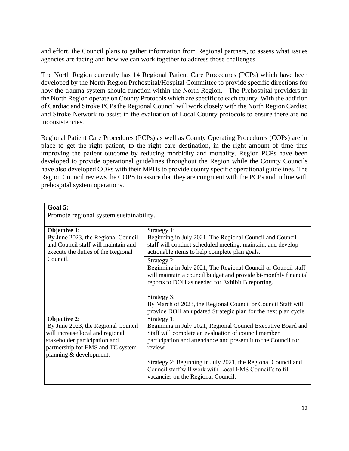and effort, the Council plans to gather information from Regional partners, to assess what issues agencies are facing and how we can work together to address those challenges.

The North Region currently has 14 Regional Patient Care Procedures (PCPs) which have been developed by the North Region Prehospital/Hospital Committee to provide specific directions for how the trauma system should function within the North Region. The Prehospital providers in the North Region operate on County Protocols which are specific to each county. With the addition of Cardiac and Stroke PCPs the Regional Council will work closely with the North Region Cardiac and Stroke Network to assist in the evaluation of Local County protocols to ensure there are no inconsistencies.

Regional Patient Care Procedures (PCPs) as well as County Operating Procedures (COPs) are in place to get the right patient, to the right care destination, in the right amount of time thus improving the patient outcome by reducing morbidity and mortality. Region PCPs have been developed to provide operational guidelines throughout the Region while the County Councils have also developed COPs with their MPDs to provide county specific operational guidelines. The Region Council reviews the COPS to assure that they are congruent with the PCPs and in line with prehospital system operations.

| Goal 5:                                 |                                                                 |
|-----------------------------------------|-----------------------------------------------------------------|
| Promote regional system sustainability. |                                                                 |
|                                         |                                                                 |
| Objective 1:                            | Strategy 1:                                                     |
| By June 2023, the Regional Council      | Beginning in July 2021, The Regional Council and Council        |
| and Council staff will maintain and     | staff will conduct scheduled meeting, maintain, and develop     |
| execute the duties of the Regional      | actionable items to help complete plan goals.                   |
| Council.                                | Strategy 2:                                                     |
|                                         | Beginning in July 2021, The Regional Council or Council staff   |
|                                         | will maintain a council budget and provide bi-monthly financial |
|                                         | reports to DOH as needed for Exhibit B reporting.               |
|                                         |                                                                 |
|                                         | Strategy 3:                                                     |
|                                         | By March of 2023, the Regional Council or Council Staff will    |
|                                         | provide DOH an updated Strategic plan for the next plan cycle.  |
| <b>Objective 2:</b>                     | Strategy 1:                                                     |
| By June 2023, the Regional Council      | Beginning in July 2021, Regional Council Executive Board and    |
| will increase local and regional        | Staff will complete an evaluation of council member             |
| stakeholder participation and           | participation and attendance and present it to the Council for  |
| partnership for EMS and TC system       | review.                                                         |
| planning & development.                 |                                                                 |
|                                         | Strategy 2: Beginning in July 2021, the Regional Council and    |
|                                         | Council staff will work with Local EMS Council's to fill        |
|                                         | vacancies on the Regional Council.                              |
|                                         |                                                                 |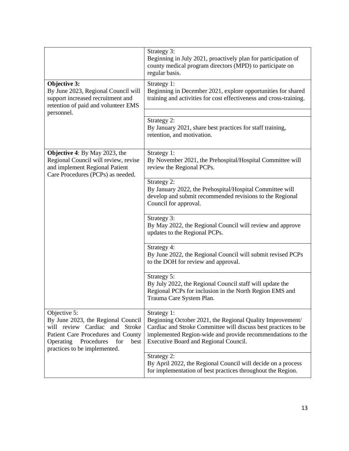|                                                                                                                                                                                                      | Strategy 3:<br>Beginning in July 2021, proactively plan for participation of<br>county medical program directors (MPD) to participate on<br>regular basis.                                                                                        |
|------------------------------------------------------------------------------------------------------------------------------------------------------------------------------------------------------|---------------------------------------------------------------------------------------------------------------------------------------------------------------------------------------------------------------------------------------------------|
| Objective 3:<br>By June 2023, Regional Council will<br>support increased recruitment and<br>retention of paid and volunteer EMS                                                                      | Strategy 1:<br>Beginning in December 2021, explore opportunities for shared<br>training and activities for cost effectiveness and cross-training.                                                                                                 |
| personnel.                                                                                                                                                                                           |                                                                                                                                                                                                                                                   |
|                                                                                                                                                                                                      | Strategy 2:<br>By January 2021, share best practices for staff training,<br>retention, and motivation.                                                                                                                                            |
| <b>Objective 4:</b> By May 2023, the<br>Regional Council will review, revise<br>and implement Regional Patient<br>Care Procedures (PCPs) as needed.                                                  | Strategy 1:<br>By November 2021, the Prehospital/Hospital Committee will<br>review the Regional PCPs.                                                                                                                                             |
|                                                                                                                                                                                                      | Strategy 2:<br>By January 2022, the Prehospital/Hospital Committee will<br>develop and submit recommended revisions to the Regional<br>Council for approval.                                                                                      |
|                                                                                                                                                                                                      | Strategy 3:<br>By May 2022, the Regional Council will review and approve<br>updates to the Regional PCPs.                                                                                                                                         |
|                                                                                                                                                                                                      | Strategy 4:<br>By June 2022, the Regional Council will submit revised PCPs<br>to the DOH for review and approval.                                                                                                                                 |
|                                                                                                                                                                                                      | Strategy 5:<br>By July 2022, the Regional Council staff will update the<br>Regional PCPs for inclusion in the North Region EMS and<br>Trauma Care System Plan.                                                                                    |
| Objective 5:<br>By June 2023, the Regional Council<br>will review Cardiac and Stroke<br>Patient Care Procedures and County<br>Procedures<br>best<br>Operating<br>for<br>practices to be implemented. | Strategy 1:<br>Beginning October 2021, the Regional Quality Improvement/<br>Cardiac and Stroke Committee will discuss best practices to be<br>implemented Region-wide and provide recommendations to the<br>Executive Board and Regional Council. |
|                                                                                                                                                                                                      | Strategy 2:<br>By April 2022, the Regional Council will decide on a process<br>for implementation of best practices throughout the Region.                                                                                                        |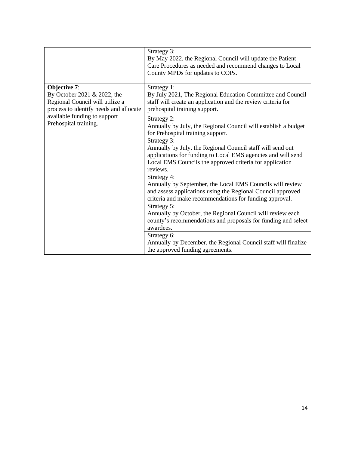|                                                                                                                          | Strategy 3:<br>By May 2022, the Regional Council will update the Patient<br>Care Procedures as needed and recommend changes to Local<br>County MPDs for updates to COPs.                                          |
|--------------------------------------------------------------------------------------------------------------------------|-------------------------------------------------------------------------------------------------------------------------------------------------------------------------------------------------------------------|
| Objective 7:<br>By October 2021 & 2022, the<br>Regional Council will utilize a<br>process to identify needs and allocate | Strategy 1:<br>By July 2021, The Regional Education Committee and Council<br>staff will create an application and the review criteria for<br>prehospital training support.                                        |
| available funding to support<br>Prehospital training.                                                                    | Strategy 2:<br>Annually by July, the Regional Council will establish a budget<br>for Prehospital training support.                                                                                                |
|                                                                                                                          | Strategy 3:<br>Annually by July, the Regional Council staff will send out<br>applications for funding to Local EMS agencies and will send<br>Local EMS Councils the approved criteria for application<br>reviews. |
|                                                                                                                          | Strategy 4:<br>Annually by September, the Local EMS Councils will review<br>and assess applications using the Regional Council approved<br>criteria and make recommendations for funding approval.                |
|                                                                                                                          | Strategy 5:<br>Annually by October, the Regional Council will review each<br>county's recommendations and proposals for funding and select<br>awardees.<br>Strategy 6:                                            |
|                                                                                                                          | Annually by December, the Regional Council staff will finalize<br>the approved funding agreements.                                                                                                                |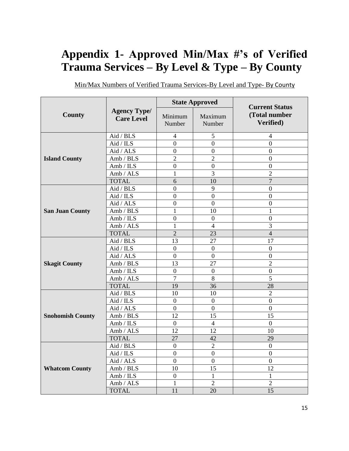# **Appendix 1- Approved Min/Max #'s of Verified Trauma Services – By Level & Type – By County**

|                         |                                          |                   | <b>State Approved</b> | <b>Current Status</b>      |
|-------------------------|------------------------------------------|-------------------|-----------------------|----------------------------|
| County                  | <b>Agency Type/</b><br><b>Care Level</b> | Minimum<br>Number | Maximum<br>Number     | (Total number<br>Verified) |
|                         | Aid / BLS                                | 4                 | 5                     | 4                          |
|                         | Aid / ILS                                | $\boldsymbol{0}$  | $\boldsymbol{0}$      | $\mathbf{0}$               |
|                         | Aid / ALS                                | $\mathbf{0}$      | $\boldsymbol{0}$      | $\boldsymbol{0}$           |
| <b>Island County</b>    | Amb / BLS                                | $\overline{2}$    | $\overline{2}$        | $\overline{0}$             |
|                         | Amb / ILS                                | $\mathbf{0}$      | $\boldsymbol{0}$      | $\boldsymbol{0}$           |
|                         | Amb / ALS                                | $\mathbf{1}$      | 3                     | $\overline{2}$             |
|                         | <b>TOTAL</b>                             | 6                 | 10                    | $\overline{7}$             |
|                         | Aid / BLS                                | $\overline{0}$    | 9                     | $\overline{0}$             |
|                         | Aid / ILS                                | $\boldsymbol{0}$  | $\boldsymbol{0}$      | $\boldsymbol{0}$           |
|                         | Aid / ALS                                | $\mathbf{0}$      | $\overline{0}$        | $\mathbf{0}$               |
| <b>San Juan County</b>  | Amb / BLS                                | $\mathbf{1}$      | 10                    | 1                          |
|                         | Amb / ILS                                | $\overline{0}$    | $\boldsymbol{0}$      | $\overline{0}$             |
|                         | Amb / ALS                                | $\mathbf{1}$      | $\overline{4}$        | $\overline{3}$             |
|                         | <b>TOTAL</b>                             | $\overline{2}$    | 23                    | $\overline{4}$             |
|                         | Aid / BLS                                | 13                | 27                    | 17                         |
|                         | Aid / ILS                                | $\mathbf{0}$      | $\mathbf{0}$          | $\overline{0}$             |
|                         | Aid / ALS                                | $\overline{0}$    | $\boldsymbol{0}$      | $\overline{0}$             |
| <b>Skagit County</b>    | Amb / BLS                                | 13                | 27                    | $\overline{2}$             |
|                         | Amb / ILS                                | $\mathbf{0}$      | $\boldsymbol{0}$      | $\mathbf{0}$               |
|                         | Amb / ALS                                | $\overline{7}$    | 8                     | 5                          |
|                         | <b>TOTAL</b>                             | 19                | 36                    | 28                         |
|                         | Aid / BLS                                | 10                | 10                    | $\overline{2}$             |
|                         | Aid / ILS                                | $\boldsymbol{0}$  | $\boldsymbol{0}$      | $\overline{0}$             |
|                         | Aid / ALS                                | $\boldsymbol{0}$  | $\boldsymbol{0}$      | $\mathbf{0}$               |
| <b>Snohomish County</b> | Amb / BLS                                | 12                | 15                    | 15                         |
|                         | Amb / ILS                                | $\boldsymbol{0}$  | $\overline{4}$        | $\overline{0}$             |
|                         | Amb / ALS                                | 12                | 12                    | 10                         |
|                         | <b>TOTAL</b>                             | 27                | 42                    | 29                         |
|                         | Aid / BLS                                | $\mathbf{0}$      | $\overline{2}$        | $\mathbf{0}$               |
|                         | Aid / ILS                                | $\boldsymbol{0}$  | $\boldsymbol{0}$      | $\boldsymbol{0}$           |
|                         | $\operatorname{Aid}/\operatorname{ALS}$  | $\overline{0}$    | $\overline{0}$        | $\overline{0}$             |
| <b>Whatcom County</b>   | Amb / BLS                                | 10                | 15                    | 12                         |
|                         | Amb / ILS                                | $\boldsymbol{0}$  | $\mathbf 1$           | $\mathbf 1$                |
|                         | Amb / ALS                                | 1                 | $\overline{2}$        | $\overline{2}$             |
|                         | <b>TOTAL</b>                             | 11                | 20                    | 15                         |

Min/Max Numbers of Verified Trauma Services-By Level and Type- By County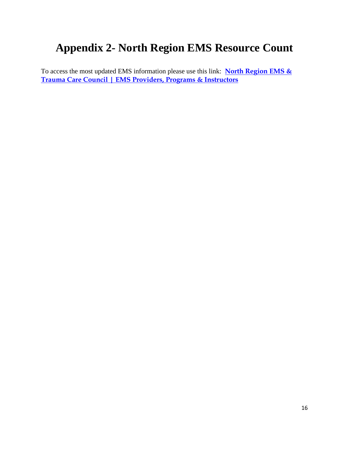### **Appendix 2- North Region EMS Resource Count**

To access the most updated EMS information please use this link: **[North Region EMS &](http://www.northregionems.com/index.cfm?zone=/unionactive/view_page.cfm&page=EMS20Providers)  [Trauma Care Council | EMS Providers, Programs & Instructors](http://www.northregionems.com/index.cfm?zone=/unionactive/view_page.cfm&page=EMS20Providers)**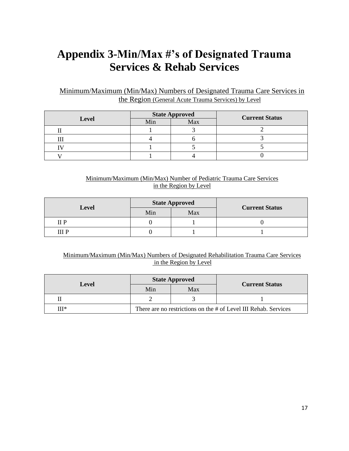# **Appendix 3-Min/Max #'s of Designated Trauma Services & Rehab Services**

### Minimum/Maximum (Min/Max) Numbers of Designated Trauma Care Services in the Region (General Acute Trauma Services) by Level

|              | <b>State Approved</b> |     | <b>Current Status</b> |
|--------------|-----------------------|-----|-----------------------|
| <b>Level</b> | Min                   | Max |                       |
|              |                       |     |                       |
|              |                       |     |                       |
|              |                       |     |                       |
|              |                       |     |                       |

#### Minimum/Maximum (Min/Max) Number of Pediatric Trauma Care Services in the Region by Level

|              | <b>State Approved</b> |     |                       |  |
|--------------|-----------------------|-----|-----------------------|--|
| <b>Level</b> | Min                   | Max | <b>Current Status</b> |  |
| II P         |                       |     |                       |  |
| ш р          |                       |     |                       |  |

#### Minimum/Maximum (Min/Max) Numbers of Designated Rehabilitation Trauma Care Services in the Region by Level

|       | <b>State Approved</b>                                           |     |                       |  |
|-------|-----------------------------------------------------------------|-----|-----------------------|--|
| Level | Min                                                             | Max | <b>Current Status</b> |  |
|       |                                                                 |     |                       |  |
| НТ∗   | There are no restrictions on the # of Level III Rehab. Services |     |                       |  |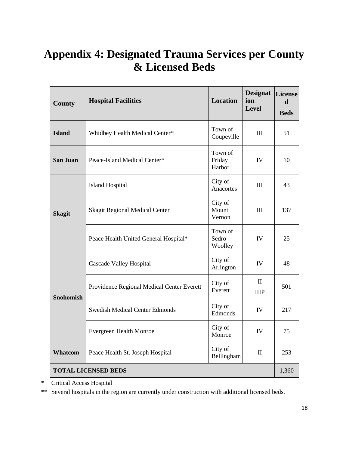# **Appendix 4: Designated Trauma Services per County & Licensed Beds**

| <b>County</b>              | <b>Hospital Facilities</b>                 | <b>Location</b>             | <b>Designat</b><br>ion<br><b>Level</b> | License<br>$\mathbf d$<br><b>Beds</b> |
|----------------------------|--------------------------------------------|-----------------------------|----------------------------------------|---------------------------------------|
| <b>Island</b>              | Whidbey Health Medical Center*             | Town of<br>Coupeville       | III                                    | 51                                    |
| <b>San Juan</b>            | Peace-Island Medical Center*               | Town of<br>Friday<br>Harbor | <b>IV</b>                              | 10                                    |
|                            | <b>Island Hospital</b>                     | City of<br>Anacortes        | Ш                                      | 43                                    |
| <b>Skagit</b>              | Skagit Regional Medical Center             | City of<br>Mount<br>Vernon  | III                                    | 137                                   |
|                            | Peace Health United General Hospital*      | Town of<br>Sedro<br>Woolley | IV                                     | 25                                    |
|                            | <b>Cascade Valley Hospital</b>             | City of<br>Arlington        | IV                                     | 48                                    |
| <b>Snohomish</b>           | Providence Regional Medical Center Everett | City of<br>Everett          | $\mathbf{I}$<br><b>IIIP</b>            | 501                                   |
|                            | <b>Swedish Medical Center Edmonds</b>      | City of<br>Edmonds          | IV                                     | 217                                   |
|                            | Evergreen Health Monroe                    | City of<br>Monroe           | IV                                     | 75                                    |
| Whatcom                    | Peace Health St. Joseph Hospital           | City of<br>Bellingham       | $\mathbf{I}$                           | 253                                   |
| <b>TOTAL LICENSED BEDS</b> |                                            |                             |                                        |                                       |

\* Critical Access Hospital

\*\* Several hospitals in the region are currently under construction with additional licensed beds.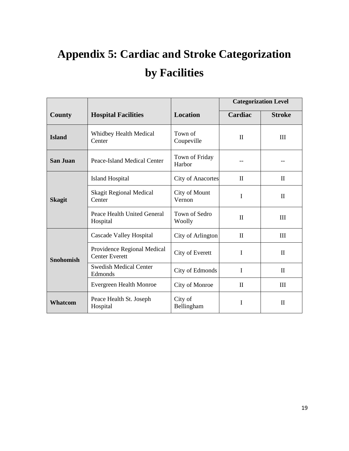# **Appendix 5: Cardiac and Stroke Categorization by Facilities**

|                  |                                                      |                          |              | <b>Categorization Level</b> |
|------------------|------------------------------------------------------|--------------------------|--------------|-----------------------------|
| County           | <b>Hospital Facilities</b>                           | <b>Location</b>          | Cardiac      | <b>Stroke</b>               |
| <b>Island</b>    | <b>Whidbey Health Medical</b><br>Center              | Town of<br>Coupeville    | $\mathbf{I}$ | III                         |
| <b>San Juan</b>  | Peace-Island Medical Center                          | Town of Friday<br>Harbor |              |                             |
|                  | <b>Island Hospital</b>                               | <b>City of Anacortes</b> | $\mathbf{I}$ | $\mathbf{I}$                |
| <b>Skagit</b>    | <b>Skagit Regional Medical</b><br>Center             | City of Mount<br>Vernon  | I            | $\mathbf{I}$                |
|                  | Peace Health United General<br>Hospital              | Town of Sedro<br>Woolly  | $\mathbf{I}$ | $\mathbf{H}$                |
|                  | Cascade Valley Hospital                              | City of Arlington        | $\mathbf{I}$ | Ш                           |
| <b>Snohomish</b> | Providence Regional Medical<br><b>Center Everett</b> | City of Everett          | I            | $\mathbf{I}$                |
|                  | <b>Swedish Medical Center</b><br>Edmonds             | City of Edmonds          | I            | $\mathbf{I}$                |
|                  | <b>Evergreen Health Monroe</b>                       | City of Monroe           | $\mathbf{I}$ | Ш                           |
| <b>Whatcom</b>   | Peace Health St. Joseph<br>Hospital                  | City of<br>Bellingham    | I            | $\mathbf{I}$                |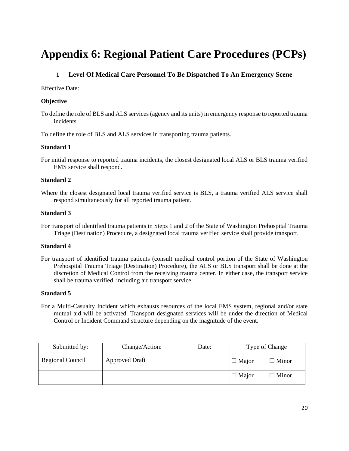### **Appendix 6: Regional Patient Care Procedures (PCPs)**

#### **1 Level Of Medical Care Personnel To Be Dispatched To An Emergency Scene**

Effective Date:

#### **Objective**

To define the role of BLS and ALS services (agency and its units) in emergency response to reported trauma incidents.

To define the role of BLS and ALS services in transporting trauma patients.

#### **Standard 1**

For initial response to reported trauma incidents, the closest designated local ALS or BLS trauma verified EMS service shall respond.

#### **Standard 2**

Where the closest designated local trauma verified service is BLS, a trauma verified ALS service shall respond simultaneously for all reported trauma patient.

#### **Standard 3**

For transport of identified trauma patients in Steps 1 and 2 of the State of Washington Prehospital Trauma Triage (Destination) Procedure, a designated local trauma verified service shall provide transport.

#### **Standard 4**

For transport of identified trauma patients (consult medical control portion of the State of Washington Prehospital Trauma Triage (Destination) Procedure), the ALS or BLS transport shall be done at the discretion of Medical Control from the receiving trauma center. In either case, the transport service shall be trauma verified, including air transport service.

#### **Standard 5**

For a Multi-Casualty Incident which exhausts resources of the local EMS system, regional and/or state mutual aid will be activated. Transport designated services will be under the direction of Medical Control or Incident Command structure depending on the magnitude of the event.

| Submitted by:    | Change/Action:        | Date: |              | Type of Change  |
|------------------|-----------------------|-------|--------------|-----------------|
| Regional Council | <b>Approved Draft</b> |       | $\Box$ Major | $\square$ Minor |
|                  |                       |       | $\Box$ Major | $\Box$ Minor    |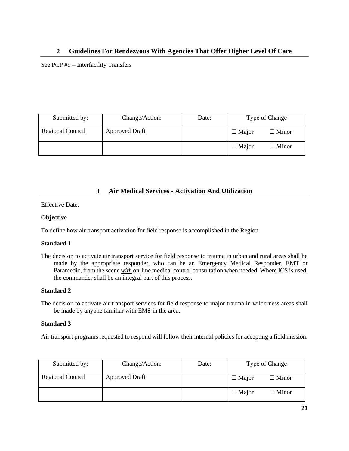#### **2 Guidelines For Rendezvous With Agencies That Offer Higher Level Of Care**

See PCP #9 – Interfacility Transfers

| Submitted by:    | Change/Action:        | Date: |              | Type of Change |
|------------------|-----------------------|-------|--------------|----------------|
| Regional Council | <b>Approved Draft</b> |       | $\Box$ Major | $\Box$ Minor   |
|                  |                       |       | $\Box$ Major | $\Box$ Minor   |

#### **3 Air Medical Services - Activation And Utilization**

Effective Date:

#### **Objective**

To define how air transport activation for field response is accomplished in the Region.

#### **Standard 1**

The decision to activate air transport service for field response to trauma in urban and rural areas shall be made by the appropriate responder, who can be an Emergency Medical Responder, EMT or Paramedic, from the scene *with* on-line medical control consultation when needed. Where ICS is used, the commander shall be an integral part of this process.

#### **Standard 2**

The decision to activate air transport services for field response to major trauma in wilderness areas shall be made by anyone familiar with EMS in the area.

#### **Standard 3**

Air transport programs requested to respond will follow their internal policies for accepting a field mission.

| Submitted by:    | Change/Action:        | Date: |              | Type of Change  |
|------------------|-----------------------|-------|--------------|-----------------|
| Regional Council | <b>Approved Draft</b> |       | $\Box$ Major | $\Box$ Minor    |
|                  |                       |       | $\Box$ Major | $\square$ Minor |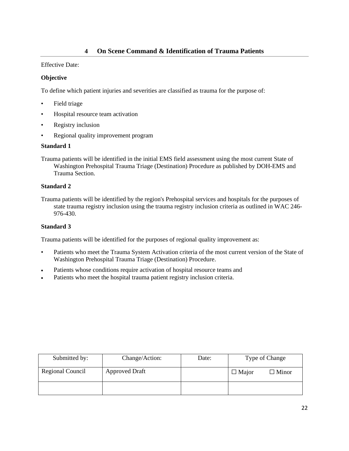#### **4 On Scene Command & Identification of Trauma Patients**

#### Effective Date:

#### **Objective**

To define which patient injuries and severities are classified as trauma for the purpose of:

- Field triage
- Hospital resource team activation
- Registry inclusion
- Regional quality improvement program

#### **Standard 1**

Trauma patients will be identified in the initial EMS field assessment using the most current State of Washington Prehospital Trauma Triage (Destination) Procedure as published by DOH-EMS and Trauma Section.

#### **Standard 2**

Trauma patients will be identified by the region's Prehospital services and hospitals for the purposes of state trauma registry inclusion using the trauma registry inclusion criteria as outlined in WAC 246- 976-430.

#### **Standard 3**

Trauma patients will be identified for the purposes of regional quality improvement as:

- Patients who meet the Trauma System Activation criteria of the most current version of the State of Washington Prehospital Trauma Triage (Destination) Procedure.
- Patients whose conditions require activation of hospital resource teams and
- Patients who meet the hospital trauma patient registry inclusion criteria.

| Submitted by:    | Change/Action:        | Date: | Type of Change               |
|------------------|-----------------------|-------|------------------------------|
| Regional Council | <b>Approved Draft</b> |       | $\Box$ Minor<br>$\Box$ Major |
|                  |                       |       |                              |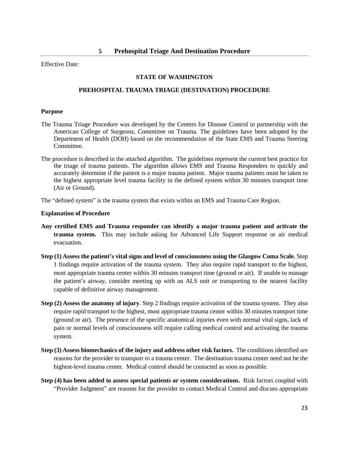#### **STATE OF WASHINGTON**

#### **PREHOSPITAL TRAUMA TRIAGE (DESTINATION) PROCEDURE**

#### **Purpose**

- The Trauma Triage Procedure was developed by the Centers for Disease Control in partnership with the American College of Surgeons, Committee on Trauma. The guidelines have been adopted by the Department of Health (DOH) based on the recommendation of the State EMS and Trauma Steering Committee.
- The procedure is described in the attached algorithm. The guidelines represent the current best practice for the triage of trauma patients. The algorithm allows EMS and Trauma Responders to quickly and accurately determine if the patient is a major trauma patient. Major trauma patients must be taken to the highest appropriate level trauma facility in the defined system within 30 minutes transport time (Air or Ground).

The "defined system" is the trauma system that exists within an EMS and Trauma Care Region.

#### **Explanation of Procedure**

- **Any certified EMS and Trauma responder can identify a major trauma patient and activate the trauma system.** This may include asking for Advanced Life Support response or air medical evacuation.
- **Step (1) Assess the patient's vital signs and level of consciousness using the Glasgow Coma Scale.** Step 1 findings require activation of the trauma system. They also require rapid transport to the highest, most appropriate trauma center within 30 minutes transport time (ground or air). If unable to manage the patient's airway, consider meeting up with an ALS unit or transporting to the nearest facility capable of definitive airway management.
- **Step (2) Assess the anatomy of injury**. Step 2 findings require activation of the trauma system. They also require rapid transport to the highest, most appropriate trauma center within 30 minutes transport time (ground or air). The presence of the specific anatomical injuries even with normal vital signs, lack of pain or normal levels of consciousness still require calling medical control and activating the trauma system.
- **Step (3) Assess biomechanics of the injury and address other risk factors.** The conditions identified are reasons for the provider to transport to a trauma center. The destination trauma center need not be the highest-level trauma center. Medical control should be contacted as soon as possible.
- **Step (4) has been added to assess special patients or system considerations.** Risk factors coupled with "Provider Judgment" are reasons for the provider to contact Medical Control and discuss appropriate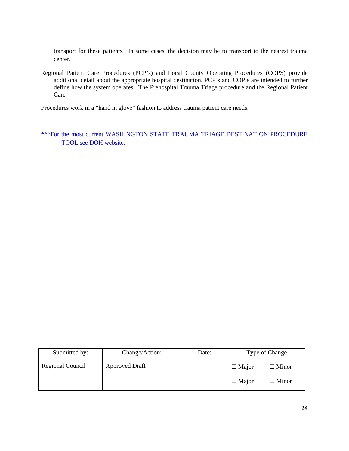transport for these patients. In some cases, the decision may be to transport to the nearest trauma center.

Regional Patient Care Procedures (PCP's) and Local County Operating Procedures (COPS) provide additional detail about the appropriate hospital destination. PCP's and COP's are intended to further define how the system operates. The Prehospital Trauma Triage procedure and the Regional Patient Care

Procedures work in a "hand in glove" fashion to address trauma patient care needs.

[\\*\\*\\*For the most current WASHINGTON STATE TRAUMA TRIAGE DESTINATION PROCEDURE](https://www.doh.wa.gov/Portals/1/Documents/Pubs/530143.pdf)  [TOOL see DOH website.](https://www.doh.wa.gov/Portals/1/Documents/Pubs/530143.pdf)

| Submitted by:    | Change/Action:        | Date: | Type of Change |              |
|------------------|-----------------------|-------|----------------|--------------|
| Regional Council | <b>Approved Draft</b> |       | $\Box$ Major   | $\Box$ Minor |
|                  |                       |       | $\Box$ Major   | $\Box$ Minor |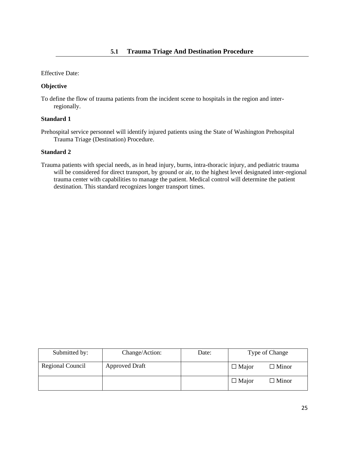#### **Objective**

To define the flow of trauma patients from the incident scene to hospitals in the region and interregionally.

#### **Standard 1**

Prehospital service personnel will identify injured patients using the State of Washington Prehospital Trauma Triage (Destination) Procedure.

#### **Standard 2**

Trauma patients with special needs, as in head injury, burns, intra-thoracic injury, and pediatric trauma will be considered for direct transport, by ground or air, to the highest level designated inter-regional trauma center with capabilities to manage the patient. Medical control will determine the patient destination. This standard recognizes longer transport times.

| Submitted by:    | Change/Action:        | Date: | Type of Change                  |  |
|------------------|-----------------------|-------|---------------------------------|--|
| Regional Council | <b>Approved Draft</b> |       | $\square$ Minor<br>$\Box$ Major |  |
|                  |                       |       | $\Box$ Major<br>$\square$ Minor |  |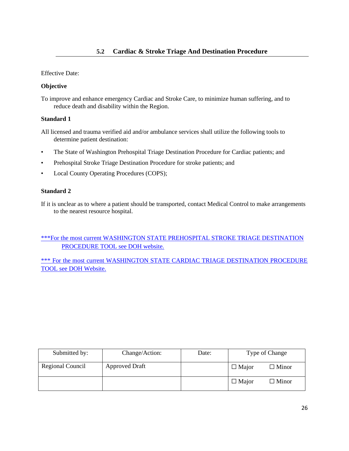#### **Objective**

To improve and enhance emergency Cardiac and Stroke Care, to minimize human suffering, and to reduce death and disability within the Region.

#### **Standard 1**

- All licensed and trauma verified aid and/or ambulance services shall utilize the following tools to determine patient destination:
- The State of Washington Prehospital Triage Destination Procedure for Cardiac patients; and
- Prehospital Stroke Triage Destination Procedure for stroke patients; and
- Local County Operating Procedures (COPS);

#### **Standard 2**

If it is unclear as to where a patient should be transported, contact Medical Control to make arrangements to the nearest resource hospital.

[\\*\\*\\*For the most current WASHINGTON STATE PREHOSPITAL STROKE TRIAGE DESTINATION](https://www.doh.wa.gov/portals/1/documents/pubs/346049.pdf)  [PROCEDURE TOOL see DOH website.](https://www.doh.wa.gov/portals/1/documents/pubs/346049.pdf)

\*\*\* For the most current WASHINGTON STATE CARDIAC TRIAGE DESTINATION PROCEDURE [TOOL see DOH Website.](https://www.doh.wa.gov/Portals/1/Documents/Pubs/346050.pdf)

| Submitted by:    | Change/Action:        | Date: | Type of Change |              |
|------------------|-----------------------|-------|----------------|--------------|
| Regional Council | <b>Approved Draft</b> |       | $\Box$ Major   | $\Box$ Minor |
|                  |                       |       | $\Box$ Major   | $\Box$ Minor |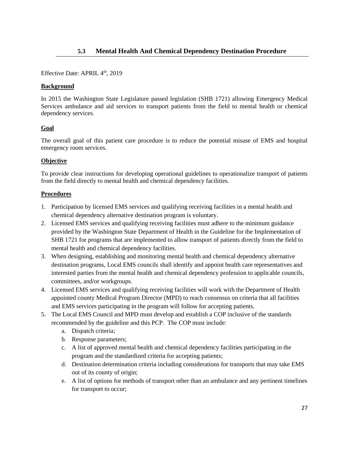Effective Date: APRIL 4<sup>th</sup>, 2019

#### **Background**

In 2015 the Washington State Legislature passed legislation (SHB 1721) allowing Emergency Medical Services ambulance and aid services to transport patients from the field to mental health or chemical dependency services.

#### **Goal**

The overall goal of this patient care procedure is to reduce the potential misuse of EMS and hospital emergency room services.

#### **Objective**

To provide clear instructions for developing operational guidelines to operationalize transport of patients from the field directly to mental health and chemical dependency facilities.

#### **Procedures**

- 1. Participation by licensed EMS services and qualifying receiving facilities in a mental health and chemical dependency alternative destination program is voluntary.
- 2. Licensed EMS services and qualifying receiving facilities must adhere to the minimum guidance provided by the Washington State Department of Health in the Guideline for the Implementation of SHB 1721 for programs that are implemented to allow transport of patients directly from the field to mental health and chemical dependency facilities.
- 3. When designing, establishing and monitoring mental health and chemical dependency alternative destination programs, Local EMS councils shall identify and appoint health care representatives and interested parties from the mental health and chemical dependency profession to applicable councils, committees, and/or workgroups.
- 4. Licensed EMS services and qualifying receiving facilities will work with the Department of Health appointed county Medical Program Director (MPD) to reach consensus on criteria that all facilities and EMS services participating in the program will follow for accepting patients.
- 5. The Local EMS Council and MPD must develop and establish a COP inclusive of the standards recommended by the guideline and this PCP. The COP must include:
	- a. Dispatch criteria;
	- b. Response parameters;
	- c. A list of approved mental health and chemical dependency facilities participating in the program and the standardized criteria for accepting patients;
	- d. Destination determination criteria including considerations for transports that may take EMS out of its county of origin;
	- e. A list of options for methods of transport other than an ambulance and any pertinent timelines for transport to occur;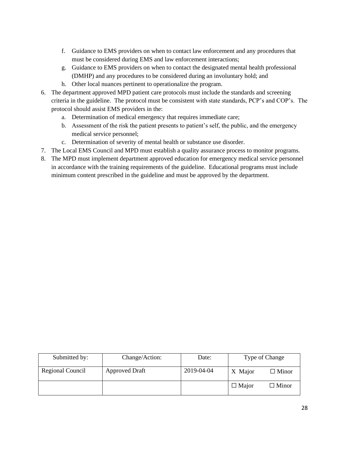- f. Guidance to EMS providers on when to contact law enforcement and any procedures that must be considered during EMS and law enforcement interactions;
- g. Guidance to EMS providers on when to contact the designated mental health professional (DMHP) and any procedures to be considered during an involuntary hold; and
- h. Other local nuances pertinent to operationalize the program.
- 6. The department approved MPD patient care protocols must include the standards and screening criteria in the guideline. The protocol must be consistent with state standards, PCP's and COP's. The protocol should assist EMS providers in the:
	- a. Determination of medical emergency that requires immediate care;
	- b. Assessment of the risk the patient presents to patient's self, the public, and the emergency medical service personnel;
	- c. Determination of severity of mental health or substance use disorder.
- 7. The Local EMS Council and MPD must establish a quality assurance process to monitor programs.
- 8. The MPD must implement department approved education for emergency medical service personnel in accordance with the training requirements of the guideline. Educational programs must include minimum content prescribed in the guideline and must be approved by the department.

| Submitted by:    | Change/Action:        | Date:      | Type of Change |                 |
|------------------|-----------------------|------------|----------------|-----------------|
| Regional Council | <b>Approved Draft</b> | 2019-04-04 | X Major        | $\square$ Minor |
|                  |                       |            | $\Box$ Major   | $\Box$ Minor    |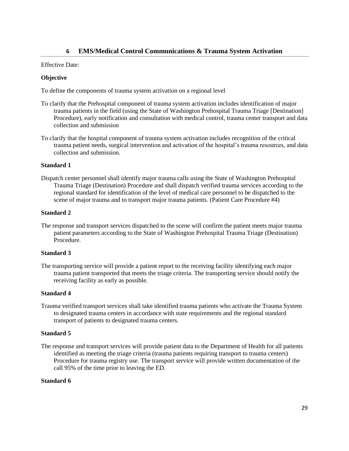#### **6 EMS/Medical Control Communications & Trauma System Activation**

#### Effective Date:

#### **Objective**

To define the components of trauma system activation on a regional level

- To clarify that the Prehospital component of trauma system activation includes identification of major trauma patients in the field (using the State of Washington Prehospital Trauma Triage [Destination] Procedure), early notification and consultation with medical control, trauma center transport and data collection and submission
- To clarify that the hospital component of trauma system activation includes recognition of the critical trauma patient needs, surgical intervention and activation of the hospital's trauma resources, and data collection and submission.

#### **Standard 1**

Dispatch center personnel shall identify major trauma calls using the State of Washington Prehospital Trauma Triage (Destination) Procedure and shall dispatch verified trauma services according to the regional standard for identification of the level of medical care personnel to be dispatched to the scene of major trauma and to transport major trauma patients. (Patient Care Procedure #4)

#### **Standard 2**

The response and transport services dispatched to the scene will confirm the patient meets major trauma patient parameters according to the State of Washington Prehospital Trauma Triage (Destination) Procedure.

#### **Standard 3**

The transporting service will provide a patient report to the receiving facility identifying each major trauma patient transported that meets the triage criteria. The transporting service should notify the receiving facility as early as possible.

#### **Standard 4**

Trauma verified transport services shall take identified trauma patients who activate the Trauma System to designated trauma centers in accordance with state requirements and the regional standard transport of patients to designated trauma centers.

#### **Standard 5**

The response and transport services will provide patient data to the Department of Health for all patients identified as meeting the triage criteria (trauma patients requiring transport to trauma centers) Procedure for trauma registry use. The transport service will provide written documentation of the call 95% of the time prior to leaving the ED.

#### **Standard 6**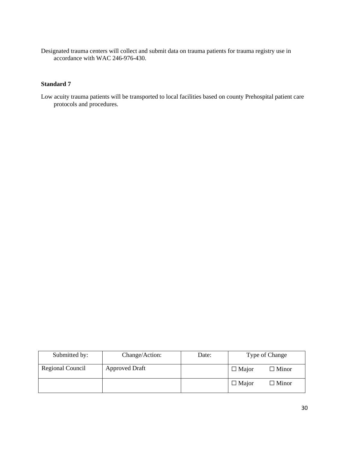Designated trauma centers will collect and submit data on trauma patients for trauma registry use in accordance with WAC 246-976-430.

#### **Standard 7**

Low acuity trauma patients will be transported to local facilities based on county Prehospital patient care protocols and procedures.

| Submitted by:    | Change/Action:        | Date: | Type of Change |              |
|------------------|-----------------------|-------|----------------|--------------|
| Regional Council | <b>Approved Draft</b> |       | $\Box$ Major   | $\Box$ Minor |
|                  |                       |       | $\Box$ Major   | $\Box$ Minor |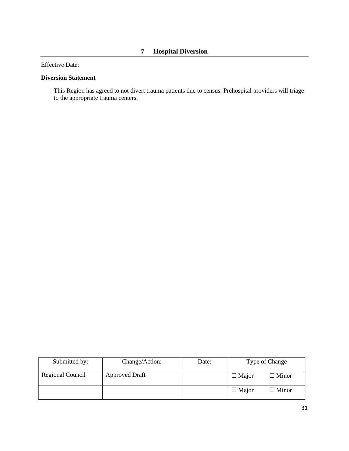#### **Diversion Statement**

This Region has agreed to not divert trauma patients due to census. Prehospital providers will triage to the appropriate trauma centers.

| Submitted by:    | Change/Action:        | Date: | Type of Change               |  |
|------------------|-----------------------|-------|------------------------------|--|
| Regional Council | <b>Approved Draft</b> |       | $\Box$ Major<br>$\Box$ Minor |  |
|                  |                       |       | $\Box$ Major<br>$\Box$ Minor |  |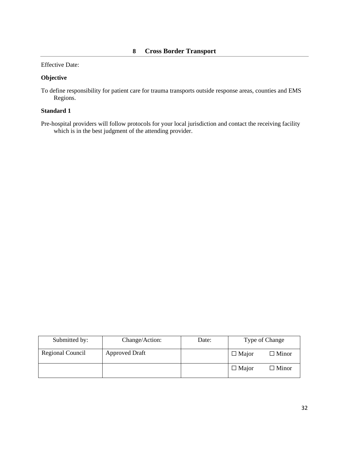#### **Objective**

To define responsibility for patient care for trauma transports outside response areas, counties and EMS Regions.

#### **Standard 1**

Pre-hospital providers will follow protocols for your local jurisdiction and contact the receiving facility which is in the best judgment of the attending provider.

| Submitted by:    | Change/Action:        | Date: | Type of Change |                 |
|------------------|-----------------------|-------|----------------|-----------------|
| Regional Council | <b>Approved Draft</b> |       | $\Box$ Major   | $\square$ Minor |
|                  |                       |       | $\Box$ Major   | $\Box$ Minor    |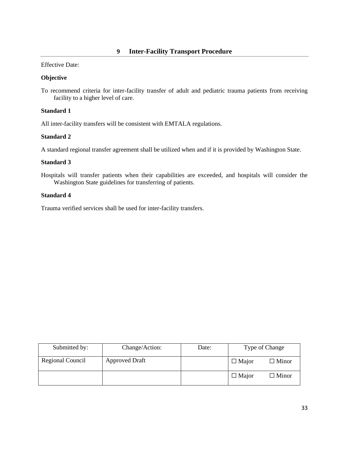#### **Objective**

To recommend criteria for inter-facility transfer of adult and pediatric trauma patients from receiving facility to a higher level of care.

#### **Standard 1**

All inter-facility transfers will be consistent with EMTALA regulations.

#### **Standard 2**

A standard regional transfer agreement shall be utilized when and if it is provided by Washington State.

#### **Standard 3**

Hospitals will transfer patients when their capabilities are exceeded, and hospitals will consider the Washington State guidelines for transferring of patients.

#### **Standard 4**

Trauma verified services shall be used for inter-facility transfers.

| Submitted by:    | Change/Action:        | Date: |              | Type of Change  |
|------------------|-----------------------|-------|--------------|-----------------|
| Regional Council | <b>Approved Draft</b> |       | $\Box$ Major | $\square$ Minor |
|                  |                       |       | $\Box$ Major | ∃ Minor         |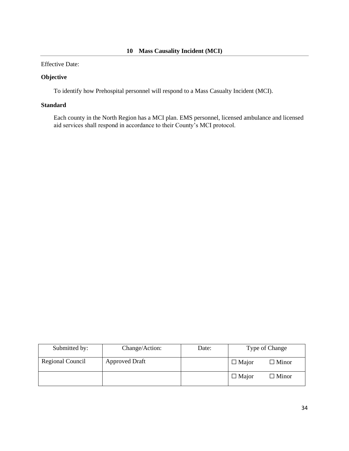#### **Objective**

To identify how Prehospital personnel will respond to a Mass Casualty Incident (MCI).

#### **Standard**

Each county in the North Region has a MCI plan. EMS personnel, licensed ambulance and licensed aid services shall respond in accordance to their County's MCI protocol.

| Submitted by:    | Change/Action:        | Date: | Type of Change |              |
|------------------|-----------------------|-------|----------------|--------------|
| Regional Council | <b>Approved Draft</b> |       | $\Box$ Major   | $\Box$ Minor |
|                  |                       |       | $\Box$ Major   | $\Box$ Minor |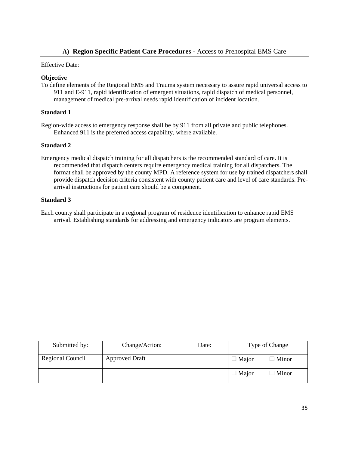#### **A) Region Specific Patient Care Procedures -** Access to Prehospital EMS Care

#### Effective Date:

#### **Objective**

To define elements of the Regional EMS and Trauma system necessary to assure rapid universal access to 911 and E-911, rapid identification of emergent situations, rapid dispatch of medical personnel, management of medical pre-arrival needs rapid identification of incident location.

#### **Standard 1**

Region-wide access to emergency response shall be by 911 from all private and public telephones. Enhanced 911 is the preferred access capability, where available.

#### **Standard 2**

Emergency medical dispatch training for all dispatchers is the recommended standard of care. It is recommended that dispatch centers require emergency medical training for all dispatchers. The format shall be approved by the county MPD. A reference system for use by trained dispatchers shall provide dispatch decision criteria consistent with county patient care and level of care standards. Prearrival instructions for patient care should be a component.

#### **Standard 3**

Each county shall participate in a regional program of residence identification to enhance rapid EMS arrival. Establishing standards for addressing and emergency indicators are program elements.

| Submitted by:    | Change/Action:        | Date: | Type of Change |                 |
|------------------|-----------------------|-------|----------------|-----------------|
| Regional Council | <b>Approved Draft</b> |       | $\Box$ Major   | $\Box$ Minor    |
|                  |                       |       | $\Box$ Major   | $\square$ Minor |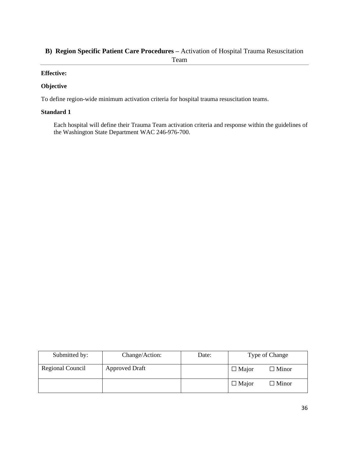#### **B) Region Specific Patient Care Procedures –** Activation of Hospital Trauma Resuscitation Team

#### **Effective:**

#### **Objective**

To define region-wide minimum activation criteria for hospital trauma resuscitation teams.

#### **Standard 1**

Each hospital will define their Trauma Team activation criteria and response within the guidelines of the Washington State Department WAC 246-976-700.

| Submitted by:    | Change/Action:        | Date: | Type of Change |              |
|------------------|-----------------------|-------|----------------|--------------|
| Regional Council | <b>Approved Draft</b> |       | $\Box$ Major   | $\Box$ Minor |
|                  |                       |       | $\Box$ Major   | $\Box$ Minor |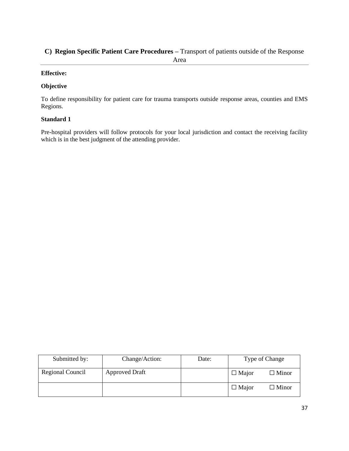### **C) Region Specific Patient Care Procedures –** Transport of patients outside of the Response

#### **Effective:**

#### **Objective**

To define responsibility for patient care for trauma transports outside response areas, counties and EMS Regions.

#### **Standard 1**

Pre-hospital providers will follow protocols for your local jurisdiction and contact the receiving facility which is in the best judgment of the attending provider.

| Submitted by:    | Change/Action:        | Date: |              | Type of Change  |
|------------------|-----------------------|-------|--------------|-----------------|
| Regional Council | <b>Approved Draft</b> |       | $\Box$ Major | $\square$ Minor |
|                  |                       |       | $\Box$ Major | $\Box$ Minor    |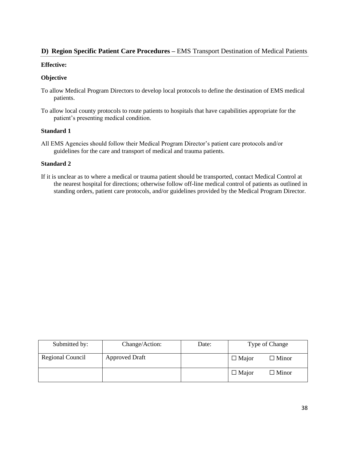#### **D) Region Specific Patient Care Procedures –** EMS Transport Destination of Medical Patients

#### **Effective:**

#### **Objective**

- To allow Medical Program Directors to develop local protocols to define the destination of EMS medical patients.
- To allow local county protocols to route patients to hospitals that have capabilities appropriate for the patient's presenting medical condition.

#### **Standard 1**

All EMS Agencies should follow their Medical Program Director's patient care protocols and/or guidelines for the care and transport of medical and trauma patients.

#### **Standard 2**

If it is unclear as to where a medical or trauma patient should be transported, contact Medical Control at the nearest hospital for directions; otherwise follow off-line medical control of patients as outlined in standing orders, patient care protocols, and/or guidelines provided by the Medical Program Director.

| Submitted by:    | Change/Action:        | Date: | Type of Change                  |
|------------------|-----------------------|-------|---------------------------------|
| Regional Council | <b>Approved Draft</b> |       | $\Box$ Major<br>$\Box$ Minor    |
|                  |                       |       | $\Box$ Major<br>$\square$ Minor |